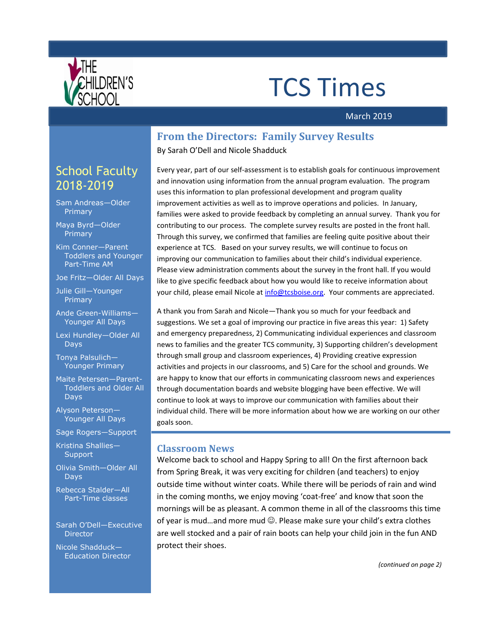

# TCS Times

#### March 2019

### **From the Directors: Family Survey Results**

By Sarah O'Dell and Nicole Shadduck

Every year, part of our self-assessment is to establish goals for continuous improvement and innovation using information from the annual program evaluation. The program uses this information to plan professional development and program quality improvement activities as well as to improve operations and policies. In January, families were asked to provide feedback by completing an annual survey. Thank you for contributing to our process. The complete survey results are posted in the front hall. Through this survey, we confirmed that families are feeling quite positive about their experience at TCS. Based on your survey results, we will continue to focus on improving our communication to families about their child's individual experience. Please view administration comments about the survey in the front hall. If you would like to give specific feedback about how you would like to receive information about your child, please email Nicole a[t info@tcsboise.org.](mailto:info@tcsboise.org) Your comments are appreciated.

A thank you from Sarah and Nicole—Thank you so much for your feedback and suggestions. We set a goal of improving our practice in five areas this year: 1) Safety and emergency preparedness, 2) Communicating individual experiences and classroom news to families and the greater TCS community, 3) Supporting children's development through small group and classroom experiences, 4) Providing creative expression activities and projects in our classrooms, and 5) Care for the school and grounds. We are happy to know that our efforts in communicating classroom news and experiences through documentation boards and website blogging have been effective. We will continue to look at ways to improve our communication with families about their individual child. There will be more information about how we are working on our other goals soon.

#### **Classroom News**

Welcome back to school and Happy Spring to all! On the first afternoon back from Spring Break, it was very exciting for children (and teachers) to enjoy outside time without winter coats. While there will be periods of rain and wind in the coming months, we enjoy moving 'coat-free' and know that soon the mornings will be as pleasant. A common theme in all of the classrooms this time of year is mud...and more mud  $\odot$ . Please make sure your child's extra clothes are well stocked and a pair of rain boots can help your child join in the fun AND protect their shoes.

# School Faculty 2018-2019

Sam Andreas—Older **Primary** 

Maya Byrd—Older Primary

Kim Conner—Parent Toddlers and Younger Part-Time AM

Joe Fritz—Older All Days

Julie Gill—Younger Primary

Ande Green-Williams— Younger All Days

Lexi Hundley—Older All Days

Tonya Palsulich— Younger Primary

Maite Petersen—Parent-Toddlers and Older All Days

Alyson Peterson— Younger All Days

Sage Rogers—Support

Kristina Shallies— **Support** 

Olivia Smith—Older All Days

Rebecca Stalder—All Part-Time classes

Sarah O'Dell—Executive Director

Nicole Shadduck— Education Director

*(continued on page 2)*